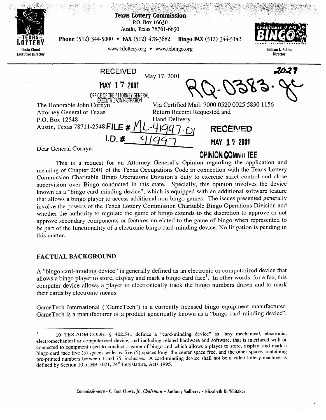| EXHS<br>Linda Cloud<br><b>Executive Director</b> | <b>Phone</b> (512) 344-5000 • <b>FAX</b> (512) 478-3682                                                                                                                                                                                                                    | <b>Texas Lottery Commission</b><br>P.O. Box 16630<br>Austin, Texas 78761-6630<br>www.txlottery.org • www.txbingo.org | <b>Bingo FAX</b> (512) 344-5142                                 | CHARITABLE <sup>a'</sup> e<br>William L. Atkins<br>Director |
|--------------------------------------------------|----------------------------------------------------------------------------------------------------------------------------------------------------------------------------------------------------------------------------------------------------------------------------|----------------------------------------------------------------------------------------------------------------------|-----------------------------------------------------------------|-------------------------------------------------------------|
|                                                  | <b>RECEIVED</b><br>MAY 17 2001<br>OFFICE OF THE ATTORNEY GENERAL<br><b>EXECUTIVE ADMINISTRATION</b><br>The Honorable John Cornyn<br><b>Attorney General of Texas</b><br>P.O. Box 12548<br>Austin, Texas 78711-2548 FILE # $\cancel{N}$<br>$I.D.$ #<br>Dear General Cornyn: | May 17, 2001<br>Via Certified Mail: 7000 0520 0025 5830 1156<br>Return Receipt Requested and<br><b>Hand Delivery</b> | $-0383-$<br>RECEIVED<br>MAY 17 2001<br><b>OPINION COMMITTEE</b> | 2021                                                        |

This is a request for an Attorney General's Opinion regarding the application and meaning of Chapter 2001 of the Texas Occupations Code in connection with the Texas Lottery Commission Charitable Bingo Operations Division's duty to exercise strict control and close supervision over Bingo conducted in this state. Specially, this opinion involves the device known as a "bingo card-minding device", which is equipped with an additional software feature that allows a bingo player to access additional non-bingo games. The issues presented generally involve the powers of the Texas Lottery Commission Charitable Bingo Operations Division and whether the authority to regulate the game of bingo extends to the discretion to approve or not approve secondary components or features unrelated to the game of bingo when represented to approve secondary components or features unrelated to the game. be part of the functionality of a electronic bingo card-minding device. No little device  $\mathcal{L}$ this matter.

# FACTURE ENTERTAIN PRO

their cards by electronic means.

A "bingo card-minding device" is generally defined as an electronic or computerized device that allows a bingo player to store, display and mark a bingo card face<sup>1</sup>. In other words, for a fee, this computer device allows a player to electronically track the bingo numbers drawn and to mark their cards by electronic means.

GameTech International ("GameTech") is a currently licensed bingo equipment manufacturer. GameTech is a manufacturer of a product generically known as a "bingo card-minding device".

<sup>16</sup> TEX.ADM.CODE. § 402.541 defines a "card-minding device" as "any mechanical, electronic, electromechanical or computerized device, and including related hardware and software, that is interfaced with or connected to equipment used to conduct a game of bingo and which allows a player to store, display, and mark a bingo card face five (5) spaces wide by five (5) spaces long, the center space free, and the other spaces containing pre-printed numbers between 1 and 75, inclusive. A card-minding device shall not be a video lottery machine a defined by Section 10 of HB 3021,  $74^{\circ}$  Legislature, Acts 1995.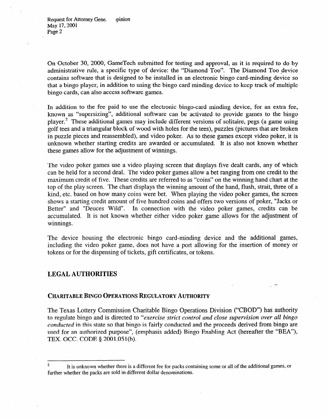On October 30, 2000, GameTech submitted for testing and approval, as it is required to do by administrative rule, a specific type of device: the "Diamond Too". The Diamond Too device contains software that is designed to be installed in an electronic bingo card-minding device so that a bingo player, in addition to using the bingo card minding device to keep track of multiple bingo cards, can also access software games.

In addition to the fee paid to use the electronic bingo-card minding device, for an extra fee, known as "supersizing", additional software can be activated to provide games to the bingo player.<sup>2</sup> These additional games may include different versions of solitaire, pegs (a game using golf tees and a triangular block of wood with holes for the tees), puzzles (pictures that are broken in puzzle pieces and reassembled), and video poker. As to these games except video poker, it is unknown whether starting credits are awarded or accumulated. It is also not known whether these games allow for the adjustment of winnings.

The video poker games use a video playing screen that displays five dealt cards, any of which can be held for a second deal. The video poker games allow a bet ranging from one credit to the maximum credit of five. These credits are referred to as "coins" on the winning hand chart at the top of the play screen. The chart displays the winning amount of the hand, flush, strait, three of a kind, etc. based on how many coins were bet. When playing the video poker games, the screen shows a starting credit amount of five hundred coins and offers two versions of poker, "Jacks or Better" and "Deuces Wild". In connection with the video poker games, credits can be accumulated. It is not known whether either video poker game allows for the adjustment of winnings.

The device housing the electronic bingo card-minding device and the additional games, including the video poker game, does not have a port allowing for the insertion of money or tokens or for the dispensing of tickets, gift certificates, or tokens.

# LEGAL AUTHORITIES

# **CHARITABLE BINGO OPERATIONS REGULATORY AUTHORITY**

The Texas Lottery Commission Charitable Bingo Operations Division ("CBOD") has authority to regulate bingo and is directed to *"exercise strict control and close supervision over all bingo conducted* in this state so that bingo is fairly conducted and the proceeds derived from bingo are used for an authorized purpose", (emphasis added) Bingo Enabling Act (hereafter the "BEA"), TEX. OCC. CODE § 2001.051(b).

<sup>&</sup>lt;sup>2</sup> It is unknown whether there is a different fee for packs containing some or all of the additional games, or further whether the packs are sold in different dollar denominations.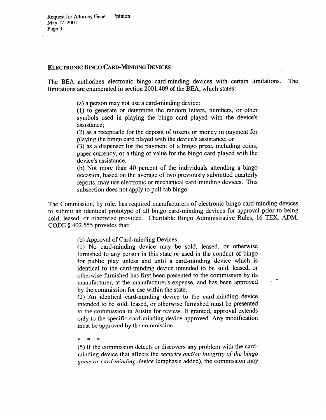### **ELECTRONIC BINGO CARD-MINDING DEVICES**

The BEA authorizes electronic bingo card-minding devices with certain limitations. The limitations are enumerated in section 2001.409 of the BEA, which states:

(a) a person may not use a card-minding device:

(1) to generate or determine the random letters, numbers, or other symbols used in playing the bingo card played with the device's assistance;

(2) as a receptacle for the deposit of tokens or money in payment for playing the bingo card played with the device's assistance; or (3) as a dispenser for the payment of a bingo prize, including coins,

(3) as a dispenser for the payment of a bingo prize, including coins, paper currency, or a thing of value for the bingo card played with the device's assistance.<br>(b) Not more than 40 percent of the individuals attending a bingo

occasion, based on the average of two previously submitted quarterly reports, may use electronic or mechanical card-minding devices. This reports, may use electronic or mechanical card-minding devices. This subsection does not apply to pull-tab bingo.

The Commission, by rule, has required manufacturers of electronic bingo card-minding devices to submit an identical prototype of all bingo card-minding devices for approval prior to being sold, leased, or otherwise provided. Charitable Bingo Administrative Rules, 16 TEX. ADM. CODE  $§$  402.555 provides that:  $\frac{1}{3}$  ,  $\frac{1}{3}$  ,  $\frac{1}{3}$  ,  $\frac{1}{3}$  provides that:

(b) Approval of Card-minding Devices.<br>(1) No card-minding device may be sold, leased, or otherwise furnished to any person in this state or used in the conduct of bingo for public play unless and until a card-minding device which is identical to the card-minding device intended to be sold, leased, or otherwise furnished has first been presented to the commission by its manufacturer, at the manufacturer's expense, and has been approved by the commission for use within the state.

 $\Delta$ ) An identical card-minding device to the card-minding device intended to be sold, leased, or otherwise furnished must be presented to the commission in Austin for review. If granted, approval extends only to the specific card-minding device approved. Any modification must be approved by the commission.

 $\ast$  $\ast$ 

(5) If the commission detects or discovers any problem with the cardminding device that affects the *security and/or integrity of the bingo* game or card-minding device (emphasis added), the commission may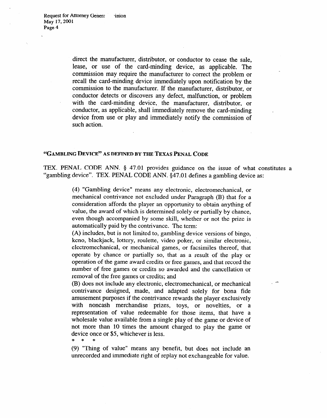\* \* \*

direct the manufacturer, distributor, or conductor to cease the sale, lease, or use of the card-minding device, as applicable. The commission may require the manufacturer to correct the problem or recall the card-minding device immediately upon notification by the commission to the manufacturer. If the manufacturer, distributor, or conductor detects or discovers any defect, malfunction, or problem with the card-minding device, the manufacturer, distributor, or conductor, as applicable, shall immediately remove the card-minding device from use or play and immediately notify the commission of such action.

.

#### **"GAMBLING DEVICE" AS DEFINED BY THE TEXAS PENAL CODE**

TEX. PENAL CODE ANN. § 47.01 provides guidance on the issue of what constitutes a "gambling device". TEX. PENAL CODE ANN. \$47.01 defines a gambling device as:

> (4) "Gambling device" means any electronic, electromechanical, or mechanical contrivance not excluded under Paragraph (B) that for a consideration affords the player an opportunity to obtain anything of value, the award of which is determined solely or partially by chance, even though accompanied by some skill, whether or not the prize is automatically paid by the contrivance. The term:

> (A) includes, but is not limited to, gambling device versions of bingo, keno, blackjack, lottery, roulette, video poker, or similar electronic, electromechanical, or mechanical games, or facsimiles thereof, that operate by chance or partially so, that as a result of the play or operation of the game award credits or free games, and that record the number of free games or credits so awarded and the cancellation or removal of the free games or credits; and

> (B) does not include any electronic, electromechanical, or mechanical contrivance designed, made, and adapted solely for bona fide amusement purposes if the contrivance rewards the player exclusively with noncash merchandise prizes, toys, or novelties, or a representation of value redeemable for those items, that have a wholesale value available from a single play of the game or device of not more than 10 times the amount charged to play the game or device once or \$5, whichever is less.<br> $* * * *$

> (9) "Thing of value" means any benefit, but does not include an unrecorded and immediate right of replay not exchangeable for value.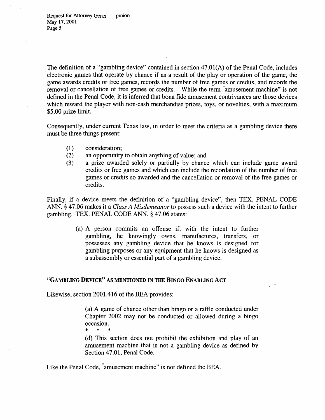The definition of a "gambling device" contained in section 47.01(A) of the Penal Code, includes electronic games that operate by chance if as a result of the play or operation of the game, the game awards credits or free games, records the number of free games or credits, and records the removal or cancellation of free games or credits. While the term "amusement machine" is not defined in the Penal Code, it is inferred that bona fide amusement contrivances are those devices which reward the player with non-cash merchandise prizes, toys, or novelties, with a maximum *\$5.00* prize limit.

Consequently, under current Texas law, in order to meet the criteria as a gambling device there must be three things present:

- (1) consideration;
- (2) an opportunity to obtain anything of value; and
- (3) a prize awarded solely or partially by chance which can include game award credits or free games and which can include the recordation of the number of free games or credits so awarded and the cancellation or removal of the free games or credits.

Finally, if a device meets the definition of a "gambling device", then TEX. PENAL CODE ANN. 5 47.06 makes it a *Class A Misdemeanor* to possess such a device with the intent to further gambling. TEX. PENAL CODE ANN. \$47.06 states:

> (a) A person commits an offense if, with the intent to further gambling, he knowingly owns, manufactures, transfers, or possesses any gambling device that he knows is designed for gambling purposes or any equipment that he knows is designed as a subassembly or essential part of a gambling device.

# **"GAMBLING DEVICE" AS MENTIONED IN THE BINGO ENABLING ACT**

Likewise, section 2001.416 of the BEA provides:

(a) A game of chance other than bingo or a raffle conducted under Chapter 2002 may not be conducted or allowed during a bingo  $\text{occasion.}$ 

\*  $\star$ 

(d) This section does not prohibit the exhibition and play of an amusement machine that is not a gambling device as defined by Section 47.01, Penal Code.

Like the Penal Code, amusement machine" is not defined the BEA.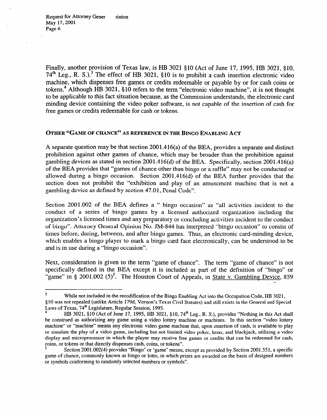Finally, another provision of Texas law, is HB 3021 \$10 (Act of June 17, 1995, HB 3021, \$10, 74<sup>th</sup> Leg., R. S.).<sup>3</sup> The effect of HB 3021, §10 is to prohibit a cash insertion electronic video machine, which dispenses free games or credits redeemable or payable by or for cash coins or tokens.<sup>4</sup> Although HB 3021, §10 refers to the term "electronic video machine", it is not thought to be applicable to this fact situation because, as the Commission understands, the electronic card minding device containing the video poker software, is not capable of the insertion of cash for free games or credits redeemable for cash or tokens.

## **OTHER "GAME OF CHANCE" AS REFERENCE IN THE BINGO ENABLING ACT**

A separate question may be that section 2001.416(a) of the BEA, provides a separate and distinct prohibition against other games of chance, which may be broader than the prohibition against gambling devices as stated in section 2001.416(d) of the BEA. Specifically, section 2001.416(a) of the BEA provides that "games of chance other than bingo or a raffle" may not be conducted or allowed during a bingo occasion. Section 2001.416(d) of the BEA further provides that the section does not prohibit the "exhibition and play of an amusement machine that is not a gambling device as defined by section 47.01, Penal Code".

Section 2001.002 of the BEA defines a " bingo occasion" as "all activities incident to the conduct of a series of bingo games by a licensed authorized organization including the organization's licensed times and any preparatory or concluding activities incident to the conduct of bingo". Attorney General Opinion No. JIM-844 has interpreted "bingo occasion" to consist of times before, during, between, and after bingo games. Thus, an electronic card-minding device, which enables a bingo player to mark a bingo card face electronically, can be understood to be and is in use during a "bingo occasion".

Next, consideration is given to the term "game of chance". The term "game of chance" is not specifically defined in the BEA except it is included as part of the definition of "bingo" or  $\frac{1}{2}$  game" in § 2001.002 (5)<sup>5</sup>. The Houston Court of Appeals, in <u>State v. Gambling Device</u>, 859

<sup>&</sup>lt;sup>3</sup> While not included in the recodification of the Bingo Enabling Act into the Occupation Code, HB 3021, \$10 was not repealed (unlike Article 179d, Vernon's Texas Civil Statutes) and still exists in the General and Special Laws of Texas, 74<sup>th</sup> Legislature, Regular Session, 1995.

HB 3021, §10 (Act of June 17, 1995, HB 3021, §10, 74<sup>th</sup> Leg., R. S.), provides "Nothing in this Act shall be construed as authorizing any game using a video lottery machine or machines. In this section "video lottery machine" or "machine" means any electronic video game machine that, upon insertion of cash, is available to play or simuIate the play of a video game, including but not limited video poker, keno, and blackjack, utilizing a video display and microprocessor in which the pIayer may receive free games or credits that can be redeemed for cash, coins, or tokens or that directly dispenses cash, coins, or tokens".

<sup>5</sup> Section 2001.002(4) provides "Bingo' or 'game' means, except as provided by Section 2001.551, a specific game of chance, commonly known as bingo or lotto, in which prizes are awarded on the basis of designed numbers or symbols conforming to randomly selected numbers or symbols".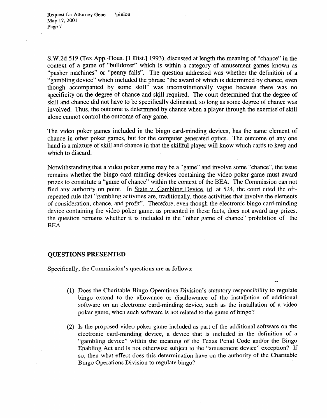S.W.2d 519 (Tex.App.-Hous. [l Dist.] 1993), discussed at length the meaning of "chance" in the context of a game of "bulldozer" which is within a category of amusement games known as "pusher machines" or "penny falls". The question addressed was whether the definition of a "gambling device" which included the phrase "the award of which is determined by chance, even though accompanied by some skill" was unconstitutionally vague because there was no specificity on the degree of chance and skill required. The court determined that the degree of skill and chance did not have to be specifically delineated, so long as some degree of chance was involved. Thus, the outcome is determined by chance when a player through the exercise of skill alone cannot control the outcome of any game.

The video poker games included in the bingo card-minding devices, has the same element of chance in other poker games, but for the computer generated optics. The outcome of any one hand is a mixture of skill and chance in that the skillful player will know which cards to keep and which to discard.

Notwithstanding that a video poker game may be a "game" and involve some "chance", the issue remains whether the bingo card-minding devices containing the video poker game must award prizes to constitute a "game of chance" within the context of the BEA. The Commission can not find any authority on point. In State v. Gambling Device, id. at 524, the court cited the oftrepeated rule that "gambling activities are, traditionally, those activities that involve the elements of consideration, chance, and profit". Therefore, even though the electronic bingo card-minding device containing the video poker game, as presented in these facts, does not award any prizes, the question remains whether it is included in the "other game of chance" prohibition of the BEA.

## QUESTIONS PRESENTED

Specifically, the Commission's questions are as follows:

- (1) Does the Charitable Bingo Operations Division's statutory responsibility to regulate bingo extend to the allowance or disallowance of the installation of additional software on an electronic card-minding device, such as the installation of a video poker game, when such software is not related to the game of bingo?
- (2) Is the proposed video poker game included as part of the additional software on the electronic card-minding device, a device that is included in the definition of a "gambling device" within the meaning of the Texas Penal Code and/or the Bingo Enabling Act and is not otherwise subject to the "amusement device" exception? If so, then what effect does this determination have on the authority of the Charitable Bingo Operations Division to regulate bingo?